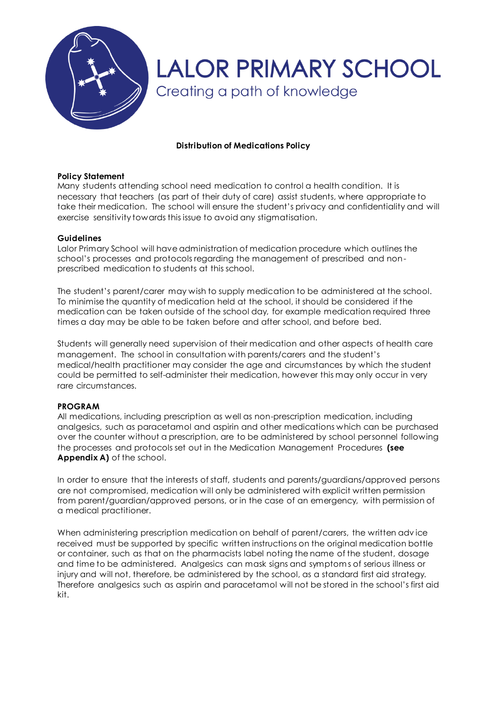

## **Distribution of Medications Policy**

### **Policy Statement**

Many students attending school need medication to control a health condition. It is necessary that teachers (as part of their duty of care) assist students, where appropriate to take their medication. The school will ensure the student's privacy and confidentiality and will exercise sensitivity towards this issue to avoid any stigmatisation.

### **Guidelines**

Lalor Primary School will have administration of medication procedure which outlines the school's processes and protocols regarding the management of prescribed and nonprescribed medication to students at this school.

The student's parent/carer may wish to supply medication to be administered at the school. To minimise the quantity of medication held at the school, it should be considered if the medication can be taken outside of the school day, for example medication required three times a day may be able to be taken before and after school, and before bed.

Students will generally need supervision of their medication and other aspects of health care management. The school in consultation with parents/carers and the student's medical/health practitioner may consider the age and circumstances by which the student could be permitted to self-administer their medication, however this may only occur in very rare circumstances.

## **PROGRAM**

All medications, including prescription as well as non-prescription medication, including analgesics, such as paracetamol and aspirin and other medications which can be purchased over the counter without a prescription, are to be administered by school personnel following the processes and protocols set out in the Medication Management Procedures **(see Appendix A)** of the school.

In order to ensure that the interests of staff, students and parents/guardians/approved persons are not compromised, medication will only be administered with explicit written permission from parent/guardian/approved persons, or in the case of an emergency, with permission of a medical practitioner.

When administering prescription medication on behalf of parent/carers, the written adv ice received must be supported by specific written instructions on the original medication bottle or container, such as that on the pharmacists label noting the name of the student, dosage and time to be administered. Analgesics can mask signs and symptoms of serious illness or injury and will not, therefore, be administered by the school, as a standard first aid strategy. Therefore analgesics such as aspirin and paracetamol will not be stored in the school's first aid kit.